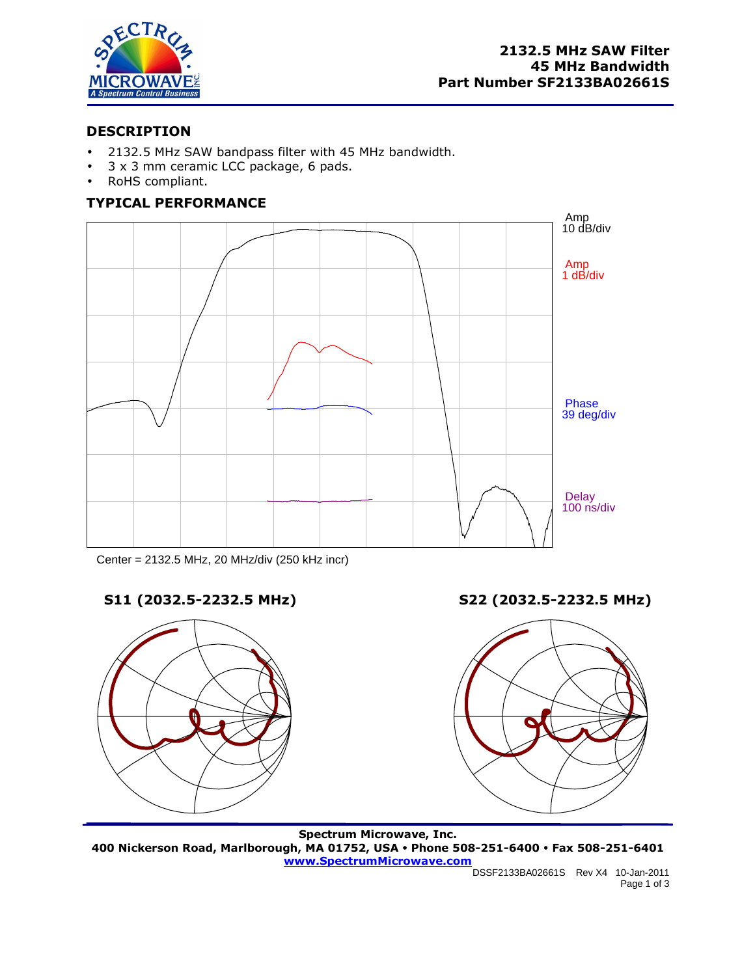

# **DESCRIPTION**

- 2132.5 MHz SAW bandpass filter with 45 MHz bandwidth.
- 3 x 3 mm ceramic LCC package, 6 pads.
- RoHS compliant.

# **TYPICAL PERFORMANCE**



Center = 2132.5 MHz, 20 MHz/div (250 kHz incr)



**S11 (2032.5-2232.5 MHz) S22 (2032.5-2232.5 MHz)** 



**Spectrum Microwave, Inc. 400 Nickerson Road, Marlborough, MA 01752, USA Phone 508-251-6400 Fax 508-251-6401 www.SpectrumMicrowave.com**

DSSF2133BA02661S Rev X4 10-Jan-2011 Page 1 of 3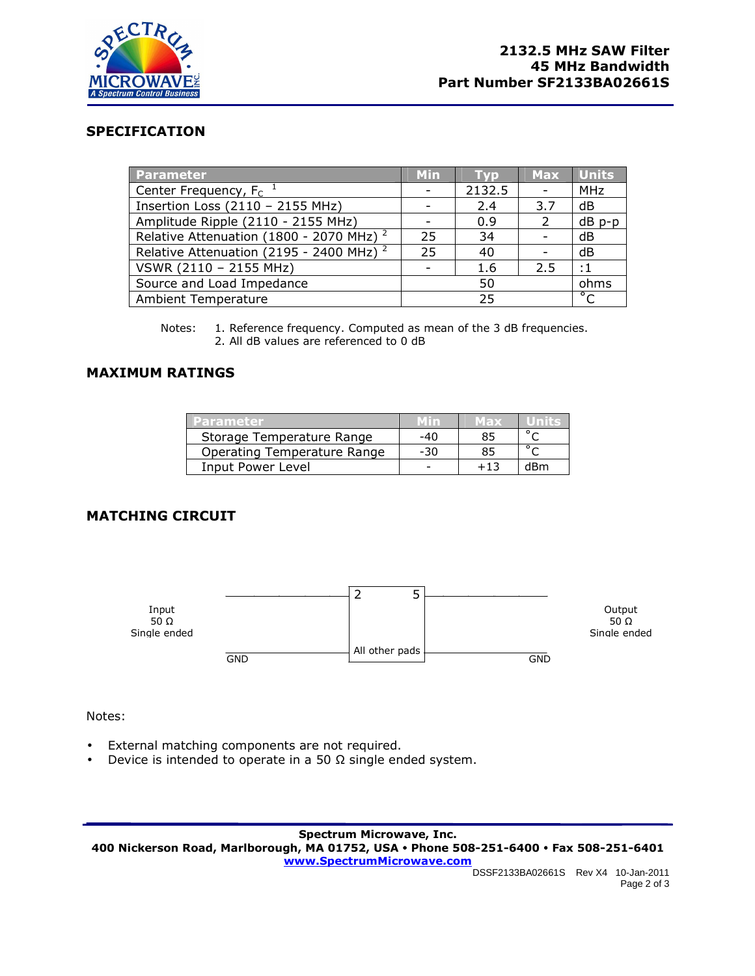

#### **SPECIFICATION**

| <b>Parameter</b>                                    | <b>Min</b>     | i vd     | <b>Max</b>               | <b>Units</b> |
|-----------------------------------------------------|----------------|----------|--------------------------|--------------|
| Center Frequency, $F_C^{-1}$                        | $\overline{a}$ | 2132.5   | $\overline{\phantom{a}}$ | <b>MHz</b>   |
| Insertion Loss (2110 - 2155 MHz)                    |                | 2.4      | 3.7                      | dB           |
| Amplitude Ripple (2110 - 2155 MHz)                  |                | 0.9      | $\mathcal{L}$            | $dB$ $p-p$   |
| Relative Attenuation (1800 - 2070 MHz) <sup>2</sup> | 25             | 34       |                          | dB           |
| Relative Attenuation (2195 - 2400 MHz) <sup>2</sup> | 25             | 40       | $\overline{\phantom{a}}$ | dB           |
| VSWR (2110 - 2155 MHz)                              |                | 1.6      | 2.5                      | $\cdot$ 1    |
| Source and Load Impedance                           | 50             |          |                          | ohms         |
| <b>Ambient Temperature</b>                          |                | $\sigma$ |                          |              |

Notes: 1. Reference frequency. Computed as mean of the 3 dB frequencies. 2. All dB values are referenced to 0 dB

## **MAXIMUM RATINGS**

| Parameter.                  |     | Max |     |
|-----------------------------|-----|-----|-----|
| Storage Temperature Range   | -40 | 85  |     |
| Operating Temperature Range | -30 | 85  |     |
| Input Power Level           |     | +13 | dBm |

# **MATCHING CIRCUIT**



Notes:

- External matching components are not required.
- Device is intended to operate in a 50  $\Omega$  single ended system.

**Spectrum Microwave, Inc. 400 Nickerson Road, Marlborough, MA 01752, USA Phone 508-251-6400 Fax 508-251-6401 www.SpectrumMicrowave.com**

DSSF2133BA02661S Rev X4 10-Jan-2011 Page 2 of 3